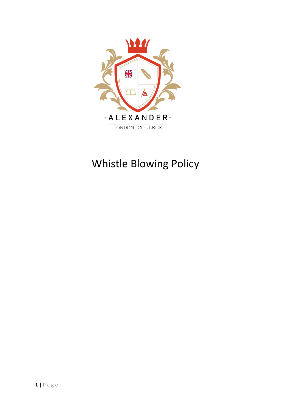

# Whistle Blowing Policy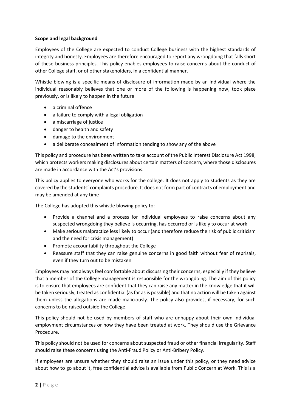## **Scope and legal background**

Employees of the College are expected to conduct College business with the highest standards of integrity and honesty. Employees are therefore encouraged to report any wrongdoing that falls short of these business principles. This policy enables employees to raise concerns about the conduct of other College staff, or of other stakeholders, in a confidential manner.

Whistle blowing is a specific means of disclosure of information made by an individual where the individual reasonably believes that one or more of the following is happening now, took place previously, or is likely to happen in the future:

- a criminal offence
- a failure to comply with a legal obligation
- a miscarriage of justice
- danger to health and safety
- damage to the environment
- a deliberate concealment of information tending to show any of the above

This policy and procedure has been written to take account of the Public Interest Disclosure Act 1998, which protects workers making disclosures about certain matters of concern, where those disclosures are made in accordance with the Act's provisions.

This policy applies to everyone who works for the college. It does not apply to students as they are covered by the students' complaints procedure. It does not form part of contracts of employment and may be amended at any time

The College has adopted this whistle blowing policy to:

- Provide a channel and a process for individual employees to raise concerns about any suspected wrongdoing they believe is occurring, has occurred or is likely to occur at work
- Make serious malpractice less likely to occur (and therefore reduce the risk of public criticism and the need for crisis management)
- Promote accountability throughout the College
- Reassure staff that they can raise genuine concerns in good faith without fear of reprisals, even if they turn out to be mistaken

Employees may not always feel comfortable about discussing their concerns, especially if they believe that a member of the College management is responsible for the wrongdoing. The aim of this policy is to ensure that employees are confident that they can raise any matter in the knowledge that it will be taken seriously, treated as confidential (as far as is possible) and that no action will be taken against them unless the allegations are made maliciously. The policy also provides, if necessary, for such concerns to be raised outside the College.

This policy should not be used by members of staff who are unhappy about their own individual employment circumstances or how they have been treated at work. They should use the Grievance Procedure.

This policy should not be used for concerns about suspected fraud or other financial irregularity. Staff should raise these concerns using the Anti-Fraud Policy or Anti-Bribery Policy.

If employees are unsure whether they should raise an issue under this policy, or they need advice about how to go about it, free confidential advice is available from Public Concern at Work. This is a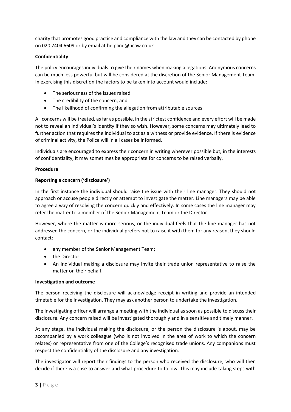charity that promotes good practice and compliance with the law and they can be contacted by phone on 020 7404 6609 or by email a[t helpline@pcaw.co.uk](mailto:helpline@pcaw.co.uk)

# **Confidentiality**

The policy encourages individuals to give their names when making allegations. Anonymous concerns can be much less powerful but will be considered at the discretion of the Senior Management Team. In exercising this discretion the factors to be taken into account would include:

- The seriousness of the issues raised
- The credibility of the concern, and
- The likelihood of confirming the allegation from attributable sources

All concerns will be treated, as far as possible, in the strictest confidence and every effort will be made not to reveal an individual's identity if they so wish. However, some concerns may ultimately lead to further action that requires the individual to act as a witness or provide evidence. If there is evidence of criminal activity, the Police will in all cases be informed.

Individuals are encouraged to express their concern in writing wherever possible but, in the interests of confidentiality, it may sometimes be appropriate for concerns to be raised verbally.

## **Procedure**

## **Reporting a concern ('disclosure')**

In the first instance the individual should raise the issue with their line manager. They should not approach or accuse people directly or attempt to investigate the matter. Line managers may be able to agree a way of resolving the concern quickly and effectively. In some cases the line manager may refer the matter to a member of the Senior Management Team or the Director

However, where the matter is more serious, or the individual feels that the line manager has not addressed the concern, or the individual prefers not to raise it with them for any reason, they should contact:

- any member of the Senior Management Team;
- the Director
- An individual making a disclosure may invite their trade union representative to raise the matter on their behalf.

#### **Investigation and outcome**

The person receiving the disclosure will acknowledge receipt in writing and provide an intended timetable for the investigation. They may ask another person to undertake the investigation.

The investigating officer will arrange a meeting with the individual as soon as possible to discuss their disclosure. Any concern raised will be investigated thoroughly and in a sensitive and timely manner.

At any stage, the individual making the disclosure, or the person the disclosure is about, may be accompanied by a work colleague (who is not involved in the area of work to which the concern relates) or representative from one of the College's recognised trade unions. Any companions must respect the confidentiality of the disclosure and any investigation.

The investigator will report their findings to the person who received the disclosure, who will then decide if there is a case to answer and what procedure to follow. This may include taking steps with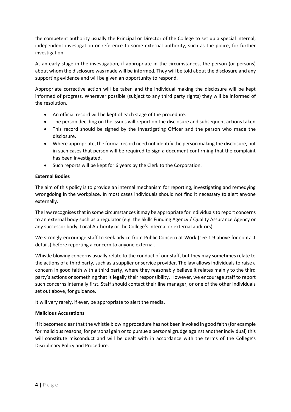the competent authority usually the Principal or Director of the College to set up a special internal, independent investigation or reference to some external authority, such as the police, for further investigation.

At an early stage in the investigation, if appropriate in the circumstances, the person (or persons) about whom the disclosure was made will be informed. They will be told about the disclosure and any supporting evidence and will be given an opportunity to respond.

Appropriate corrective action will be taken and the individual making the disclosure will be kept informed of progress. Wherever possible (subject to any third party rights) they will be informed of the resolution.

- An official record will be kept of each stage of the procedure.
- The person deciding on the issues will report on the disclosure and subsequent actions taken
- This record should be signed by the Investigating Officer and the person who made the disclosure.
- Where appropriate, the formal record need not identify the person making the disclosure, but in such cases that person will be required to sign a document confirming that the complaint has been investigated.
- Such reports will be kept for 6 years by the Clerk to the Corporation.

## **External Bodies**

The aim of this policy is to provide an internal mechanism for reporting, investigating and remedying wrongdoing in the workplace. In most cases individuals should not find it necessary to alert anyone externally.

The law recognises that in some circumstances it may be appropriate for individuals to report concerns to an external body such as a regulator (e.g. the Skills Funding Agency / Quality Assurance Agency or any successor body, Local Authority or the College's internal or external auditors).

We strongly encourage staff to seek advice from Public Concern at Work (see 1.9 above for contact details) before reporting a concern to anyone external.

Whistle blowing concerns usually relate to the conduct of our staff, but they may sometimes relate to the actions of a third party, such as a supplier or service provider. The law allows individuals to raise a concern in good faith with a third party, where they reasonably believe it relates mainly to the third party's actions or something that is legally their responsibility. However, we encourage staff to report such concerns internally first. Staff should contact their line manager, or one of the other individuals set out above, for guidance.

It will very rarely, if ever, be appropriate to alert the media.

#### **Malicious Accusations**

If it becomes clear that the whistle blowing procedure has not been invoked in good faith (for example for malicious reasons, for personal gain or to pursue a personal grudge against another individual) this will constitute misconduct and will be dealt with in accordance with the terms of the College's Disciplinary Policy and Procedure.